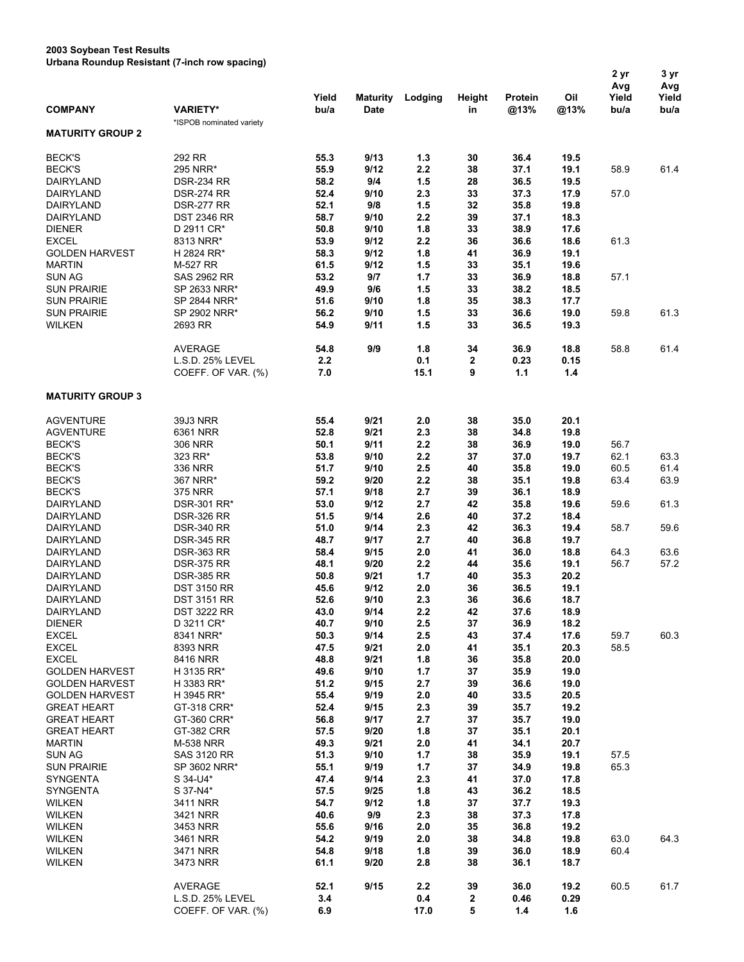## **2003 Soybean Test Results Urbana Roundup Resistant (7-inch row spacing)**

|                                       |                                             | Yield        | <b>Maturity</b> | Lodging      | Height   | Protein      | Oil          | 2 yr<br>Avg<br>Yield | 3 yr<br>Avg<br>Yield |
|---------------------------------------|---------------------------------------------|--------------|-----------------|--------------|----------|--------------|--------------|----------------------|----------------------|
| <b>COMPANY</b>                        | <b>VARIETY*</b><br>*ISPOB nominated variety | bu/a         | <b>Date</b>     |              | in       | @13%         | @13%         | bu/a                 | bu/a                 |
| <b>MATURITY GROUP 2</b>               |                                             |              |                 |              |          |              |              |                      |                      |
| <b>BECK'S</b>                         | 292 RR                                      | 55.3         | 9/13            | 1.3          | 30       | 36.4         | 19.5         |                      |                      |
| <b>BECK'S</b>                         | 295 NRR*                                    | 55.9         | 9/12            | 2.2          | 38       | 37.1         | 19.1         | 58.9                 | 61.4                 |
| DAIRYLAND                             | <b>DSR-234 RR</b>                           | 58.2         | 9/4             | 1.5          | 28       | 36.5         | 19.5         |                      |                      |
| DAIRYLAND                             | <b>DSR-274 RR</b>                           | 52.4         | 9/10            | 2.3          | 33       | 37.3         | 17.9         | 57.0                 |                      |
| DAIRYLAND                             | <b>DSR-277 RR</b>                           | 52.1         | 9/8             | 1.5          | 32       | 35.8         | 19.8         |                      |                      |
| DAIRYLAND                             | <b>DST 2346 RR</b>                          | 58.7         | 9/10            | 2.2          | 39       | 37.1         | 18.3         |                      |                      |
| <b>DIENER</b>                         | D 2911 CR*                                  | 50.8         | 9/10            | 1.8          | 33       | 38.9         | 17.6         |                      |                      |
| <b>EXCEL</b><br><b>GOLDEN HARVEST</b> | 8313 NRR*<br>H 2824 RR*                     | 53.9<br>58.3 | 9/12<br>9/12    | 2.2<br>1.8   | 36<br>41 | 36.6<br>36.9 | 18.6<br>19.1 | 61.3                 |                      |
| <b>MARTIN</b>                         | M-527 RR                                    | 61.5         | 9/12            | 1.5          | 33       | 35.1         | 19.6         |                      |                      |
| <b>SUN AG</b>                         | <b>SAS 2962 RR</b>                          | 53.2         | 9/7             | 1.7          | 33       | 36.9         | 18.8         | 57.1                 |                      |
| <b>SUN PRAIRIE</b>                    | SP 2633 NRR*                                | 49.9         | 9/6             | 1.5          | 33       | 38.2         | 18.5         |                      |                      |
| <b>SUN PRAIRIE</b>                    | SP 2844 NRR*                                | 51.6         | 9/10            | 1.8          | 35       | 38.3         | 17.7         |                      |                      |
| <b>SUN PRAIRIE</b>                    | SP 2902 NRR*                                | 56.2         | 9/10            | 1.5          | 33       | 36.6         | 19.0         | 59.8                 | 61.3                 |
| <b>WILKEN</b>                         | 2693 RR                                     | 54.9         | 9/11            | 1.5          | 33       | 36.5         | 19.3         |                      |                      |
|                                       | <b>AVERAGE</b>                              | 54.8         | 9/9             | 1.8          | 34       | 36.9         | 18.8         | 58.8                 | 61.4                 |
|                                       | L.S.D. 25% LEVEL                            | 2.2          |                 | 0.1          | 2        | 0.23         | 0.15         |                      |                      |
|                                       | COEFF. OF VAR. (%)                          | 7.0          |                 | 15.1         | 9        | 1.1          | 1.4          |                      |                      |
| <b>MATURITY GROUP 3</b>               |                                             |              |                 |              |          |              |              |                      |                      |
| <b>AGVENTURE</b>                      | 39J3 NRR                                    | 55.4         | 9/21            | 2.0          | 38       | 35.0         | 20.1         |                      |                      |
| <b>AGVENTURE</b>                      | 6361 NRR                                    | 52.8         | 9/21            | 2.3          | 38       | 34.8         | 19.8         |                      |                      |
| <b>BECK'S</b>                         | 306 NRR                                     | 50.1         | 9/11            | 2.2          | 38       | 36.9         | 19.0         | 56.7                 |                      |
| <b>BECK'S</b>                         | 323 RR*                                     | 53.8         | 9/10            | 2.2          | 37       | 37.0         | 19.7         | 62.1                 | 63.3                 |
| <b>BECK'S</b>                         | 336 NRR                                     | 51.7         | 9/10            | 2.5          | 40       | 35.8         | 19.0         | 60.5                 | 61.4                 |
| <b>BECK'S</b>                         | 367 NRR*                                    | 59.2         | 9/20            | 2.2          | 38       | 35.1         | 19.8         | 63.4                 | 63.9                 |
| <b>BECK'S</b>                         | <b>375 NRR</b>                              | 57.1         | 9/18            | 2.7          | 39       | 36.1         | 18.9         |                      |                      |
| DAIRYLAND                             | DSR-301 RR*                                 | 53.0         | 9/12            | 2.7          | 42       | 35.8         | 19.6         | 59.6                 | 61.3                 |
| DAIRYLAND                             | <b>DSR-326 RR</b>                           | 51.5         | 9/14            | 2.6          | 40       | 37.2         | 18.4         |                      |                      |
| DAIRYLAND                             | <b>DSR-340 RR</b>                           | 51.0         | 9/14            | 2.3          | 42       | 36.3         | 19.4         | 58.7                 | 59.6                 |
| DAIRYLAND                             | <b>DSR-345 RR</b>                           | 48.7         | 9/17            | 2.7          | 40       | 36.8         | 19.7         |                      |                      |
| DAIRYLAND                             | <b>DSR-363 RR</b>                           | 58.4         | 9/15            | 2.0          | 41       | 36.0         | 18.8         | 64.3                 | 63.6                 |
| DAIRYLAND                             | <b>DSR-375 RR</b>                           | 48.1         | 9/20            | 2.2          | 44       | 35.6         | 19.1         | 56.7                 | 57.2                 |
| DAIRYLAND                             | <b>DSR-385 RR</b>                           | 50.8         | 9/21            | 1.7          | 40       | 35.3         | 20.2         |                      |                      |
| DAIRYLAND                             | <b>DST 3150 RR</b>                          | 45.6         | 9/12            | 2.0          | 36       | 36.5         | 19.1         |                      |                      |
| DAIRYLAND                             | <b>DST 3151 RR</b>                          | 52.6         | 9/10            | 2.3          | 36       | 36.6         | 18.7         |                      |                      |
| DAIRYLAND                             | <b>DST 3222 RR</b>                          | 43.0         | 9/14            | $2.2\,$      | 42       | 37.6         | 18.9         |                      |                      |
| <b>DIENER</b>                         | D 3211 CR*                                  | 40.7         | 9/10            | 2.5          | 37       | 36.9         | 18.2         |                      |                      |
| <b>EXCEL</b>                          | 8341 NRR*                                   | 50.3         | 9/14            | 2.5          | 43       | 37.4         | 17.6         | 59.7                 | 60.3                 |
| <b>EXCEL</b>                          | 8393 NRR                                    | 47.5         | 9/21            | 2.0          | 41       | 35.1         | 20.3         | 58.5                 |                      |
| <b>EXCEL</b>                          | 8416 NRR                                    | 48.8         | 9/21            | 1.8          | 36       | 35.8         | 20.0         |                      |                      |
| <b>GOLDEN HARVEST</b>                 | H 3135 RR*                                  | 49.6         | 9/10            | 1.7          | 37       | 35.9         | 19.0         |                      |                      |
| <b>GOLDEN HARVEST</b>                 | H 3383 RR*                                  | 51.2         | 9/15            | 2.7          | 39       | 36.6         | 19.0         |                      |                      |
| <b>GOLDEN HARVEST</b>                 | H 3945 RR*                                  | 55.4         | 9/19            | 2.0          | 40       | 33.5         | 20.5         |                      |                      |
| <b>GREAT HEART</b>                    | GT-318 CRR*                                 | 52.4         | 9/15            | 2.3          | 39       | 35.7         | 19.2         |                      |                      |
| <b>GREAT HEART</b>                    | GT-360 CRR*                                 | 56.8         | 9/17            | 2.7          | 37       | 35.7         | 19.0         |                      |                      |
| <b>GREAT HEART</b>                    | GT-382 CRR                                  | 57.5         | 9/20            | 1.8          | 37       | 35.1         | 20.1         |                      |                      |
| <b>MARTIN</b><br><b>SUN AG</b>        | <b>M-538 NRR</b>                            | 49.3         | 9/21            | 2.0          | 41       | 34.1         | 20.7         |                      |                      |
| <b>SUN PRAIRIE</b>                    | <b>SAS 3120 RR</b><br>SP 3602 NRR*          | 51.3<br>55.1 | 9/10<br>9/19    | $1.7$        | 38<br>37 | 35.9<br>34.9 | 19.1<br>19.8 | 57.5<br>65.3         |                      |
| SYNGENTA                              | S 34-U4*                                    | 47.4         | 9/14            | $1.7$<br>2.3 | 41       | 37.0         | 17.8         |                      |                      |
| SYNGENTA                              | S 37-N4*                                    | 57.5         | 9/25            | 1.8          | 43       | 36.2         | 18.5         |                      |                      |
| <b>WILKEN</b>                         | 3411 NRR                                    | 54.7         | 9/12            | 1.8          | 37       | 37.7         | 19.3         |                      |                      |
| <b>WILKEN</b>                         | 3421 NRR                                    | 40.6         | 9/9             | 2.3          | 38       | 37.3         | 17.8         |                      |                      |
| <b>WILKEN</b>                         | 3453 NRR                                    | 55.6         | 9/16            | 2.0          | 35       | 36.8         | 19.2         |                      |                      |
| <b>WILKEN</b>                         | 3461 NRR                                    | 54.2         | 9/19            | 2.0          | 38       | 34.8         | 19.8         | 63.0                 | 64.3                 |
| <b>WILKEN</b>                         | 3471 NRR                                    | 54.8         | 9/18            | 1.8          | 39       | 36.0         | 18.9         | 60.4                 |                      |
| <b>WILKEN</b>                         | 3473 NRR                                    | 61.1         | 9/20            | 2.8          | 38       | 36.1         | 18.7         |                      |                      |
|                                       | AVERAGE                                     | 52.1         | 9/15            | 2.2          | 39       | 36.0         | 19.2         | 60.5                 | 61.7                 |
|                                       | L.S.D. 25% LEVEL                            | 3.4          |                 | 0.4          | 2        | 0.46         | 0.29         |                      |                      |
|                                       | COEFF. OF VAR. (%)                          | 6.9          |                 | 17.0         | 5        | 1.4          | 1.6          |                      |                      |